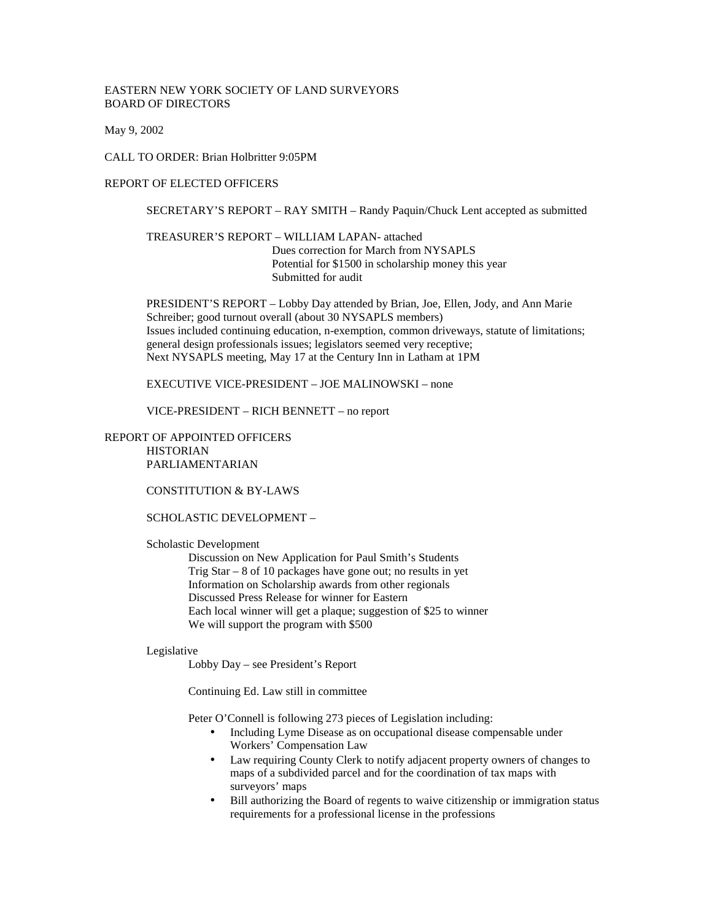# EASTERN NEW YORK SOCIETY OF LAND SURVEYORS BOARD OF DIRECTORS

May 9, 2002

CALL TO ORDER: Brian Holbritter 9:05PM

## REPORT OF ELECTED OFFICERS

SECRETARY'S REPORT – RAY SMITH – Randy Paquin/Chuck Lent accepted as submitted

TREASURER'S REPORT – WILLIAM LAPAN- attached Dues correction for March from NYSAPLS Potential for \$1500 in scholarship money this year Submitted for audit

PRESIDENT'S REPORT – Lobby Day attended by Brian, Joe, Ellen, Jody, and Ann Marie Schreiber; good turnout overall (about 30 NYSAPLS members) Issues included continuing education, n-exemption, common driveways, statute of limitations; general design professionals issues; legislators seemed very receptive; Next NYSAPLS meeting, May 17 at the Century Inn in Latham at 1PM

EXECUTIVE VICE-PRESIDENT – JOE MALINOWSKI – none

VICE-PRESIDENT – RICH BENNETT – no report

#### REPORT OF APPOINTED OFFICERS HISTORIAN PARLIAMENTARIAN

CONSTITUTION & BY-LAWS

SCHOLASTIC DEVELOPMENT –

Scholastic Development

Discussion on New Application for Paul Smith's Students Trig Star – 8 of 10 packages have gone out; no results in yet Information on Scholarship awards from other regionals Discussed Press Release for winner for Eastern Each local winner will get a plaque; suggestion of \$25 to winner We will support the program with \$500

## Legislative

Lobby Day – see President's Report

Continuing Ed. Law still in committee

Peter O'Connell is following 273 pieces of Legislation including:

- Including Lyme Disease as on occupational disease compensable under Workers' Compensation Law
- Law requiring County Clerk to notify adjacent property owners of changes to maps of a subdivided parcel and for the coordination of tax maps with surveyors' maps
- Bill authorizing the Board of regents to waive citizenship or immigration status requirements for a professional license in the professions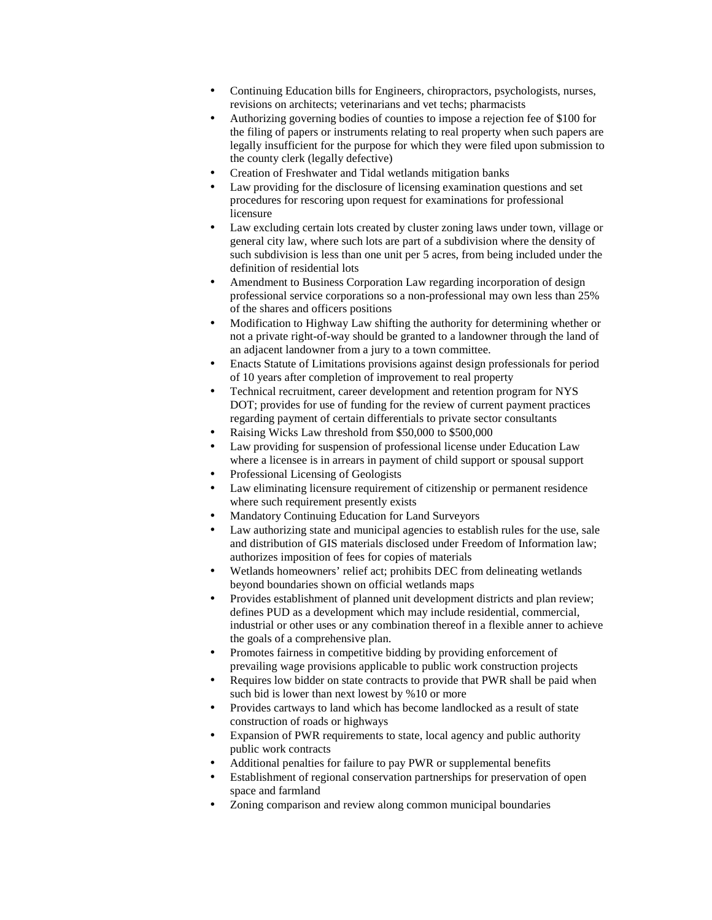- Continuing Education bills for Engineers, chiropractors, psychologists, nurses, revisions on architects; veterinarians and vet techs; pharmacists
- Authorizing governing bodies of counties to impose a rejection fee of \$100 for the filing of papers or instruments relating to real property when such papers are legally insufficient for the purpose for which they were filed upon submission to the county clerk (legally defective)
- Creation of Freshwater and Tidal wetlands mitigation banks
- Law providing for the disclosure of licensing examination questions and set procedures for rescoring upon request for examinations for professional licensure
- Law excluding certain lots created by cluster zoning laws under town, village or general city law, where such lots are part of a subdivision where the density of such subdivision is less than one unit per 5 acres, from being included under the definition of residential lots
- Amendment to Business Corporation Law regarding incorporation of design professional service corporations so a non-professional may own less than 25% of the shares and officers positions
- Modification to Highway Law shifting the authority for determining whether or not a private right-of-way should be granted to a landowner through the land of an adjacent landowner from a jury to a town committee.
- Enacts Statute of Limitations provisions against design professionals for period of 10 years after completion of improvement to real property
- Technical recruitment, career development and retention program for NYS DOT; provides for use of funding for the review of current payment practices regarding payment of certain differentials to private sector consultants
- Raising Wicks Law threshold from \$50,000 to \$500,000
- Law providing for suspension of professional license under Education Law where a licensee is in arrears in payment of child support or spousal support
- Professional Licensing of Geologists
- Law eliminating licensure requirement of citizenship or permanent residence where such requirement presently exists
- Mandatory Continuing Education for Land Surveyors
- Law authorizing state and municipal agencies to establish rules for the use, sale and distribution of GIS materials disclosed under Freedom of Information law; authorizes imposition of fees for copies of materials
- Wetlands homeowners' relief act; prohibits DEC from delineating wetlands beyond boundaries shown on official wetlands maps
- Provides establishment of planned unit development districts and plan review; defines PUD as a development which may include residential, commercial, industrial or other uses or any combination thereof in a flexible anner to achieve the goals of a comprehensive plan.
- Promotes fairness in competitive bidding by providing enforcement of prevailing wage provisions applicable to public work construction projects
- Requires low bidder on state contracts to provide that PWR shall be paid when such bid is lower than next lowest by %10 or more
- Provides cartways to land which has become landlocked as a result of state construction of roads or highways
- Expansion of PWR requirements to state, local agency and public authority public work contracts
- Additional penalties for failure to pay PWR or supplemental benefits
- Establishment of regional conservation partnerships for preservation of open space and farmland
- Zoning comparison and review along common municipal boundaries